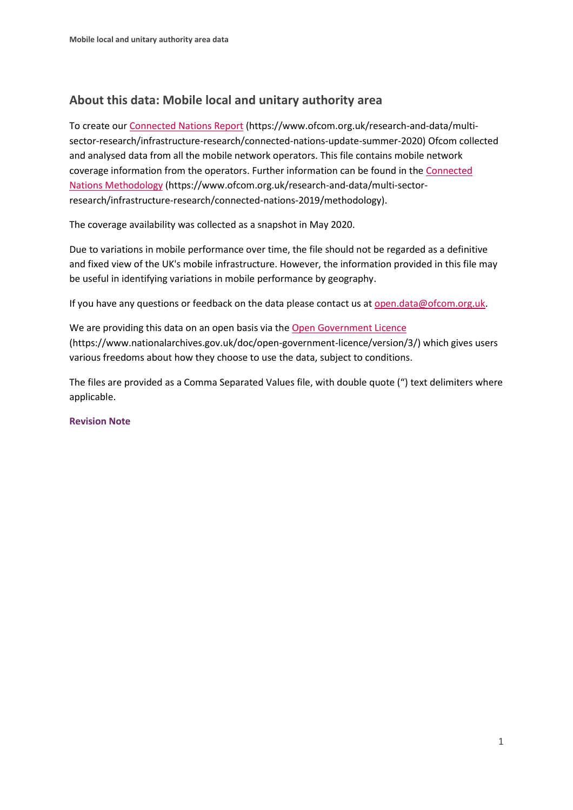## **About this data: Mobile local and unitary authority area**

To create ou[r Connected Nations Report](https://www.ofcom.org.uk/research-and-data/multi-sector-research/infrastructure-research/connected-nations-update-summer-2020) (https://www.ofcom.org.uk/research-and-data/multisector-research/infrastructure-research/connected-nations-update-summer-2020) Ofcom collected and analysed data from all the mobile network operators. This file contains mobile network coverage information from the operators. Further information can be found in the [Connected](https://www.ofcom.org.uk/research-and-data/multi-sector-research/infrastructure-research/connected-nations-2019/methodology)  [Nations Methodology](https://www.ofcom.org.uk/research-and-data/multi-sector-research/infrastructure-research/connected-nations-2019/methodology) (https://www.ofcom.org.uk/research-and-data/multi-sectorresearch/infrastructure-research/connected-nations-2019/methodology).

The coverage availability was collected as a snapshot in May 2020.

Due to variations in mobile performance over time, the file should not be regarded as a definitive and fixed view of the UK's mobile infrastructure. However, the information provided in this file may be useful in identifying variations in mobile performance by geography.

If you have any questions or feedback on the data please contact us at [open.data@ofcom.org.uk.](mailto:open.data@ofcom.org.uk)

We are providing this data on an open basis via the [Open Government Licence](https://www.nationalarchives.gov.uk/doc/open-government-licence/version/3/) (https://www.nationalarchives.gov.uk/doc/open-government-licence/version/3/) which gives users various freedoms about how they choose to use the data, subject to conditions.

The files are provided as a Comma Separated Values file, with double quote (") text delimiters where applicable.

#### **Revision Note**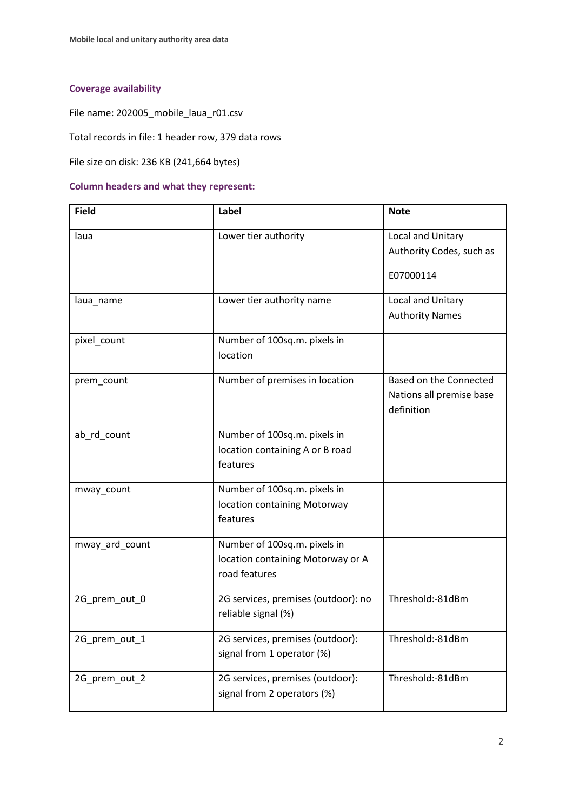### **Coverage availability**

File name: 202005\_mobile\_laua\_r01.csv

Total records in file: 1 header row, 379 data rows

File size on disk: 236 KB (241,664 bytes)

#### **Column headers and what they represent:**

| <b>Field</b>   | Label                                                                              | <b>Note</b>                                                      |
|----------------|------------------------------------------------------------------------------------|------------------------------------------------------------------|
| laua           | Lower tier authority                                                               | Local and Unitary<br>Authority Codes, such as<br>E07000114       |
| laua_name      | Lower tier authority name                                                          | Local and Unitary<br><b>Authority Names</b>                      |
| pixel_count    | Number of 100sq.m. pixels in<br>location                                           |                                                                  |
| prem_count     | Number of premises in location                                                     | Based on the Connected<br>Nations all premise base<br>definition |
| ab_rd_count    | Number of 100sq.m. pixels in<br>location containing A or B road<br>features        |                                                                  |
| mway_count     | Number of 100sq.m. pixels in<br>location containing Motorway<br>features           |                                                                  |
| mway_ard_count | Number of 100sq.m. pixels in<br>location containing Motorway or A<br>road features |                                                                  |
| 2G_prem_out_0  | 2G services, premises (outdoor): no<br>reliable signal (%)                         | Threshold:-81dBm                                                 |
| 2G_prem_out_1  | 2G services, premises (outdoor):<br>signal from 1 operator (%)                     | Threshold:-81dBm                                                 |
| 2G_prem_out_2  | 2G services, premises (outdoor):<br>signal from 2 operators (%)                    | Threshold:-81dBm                                                 |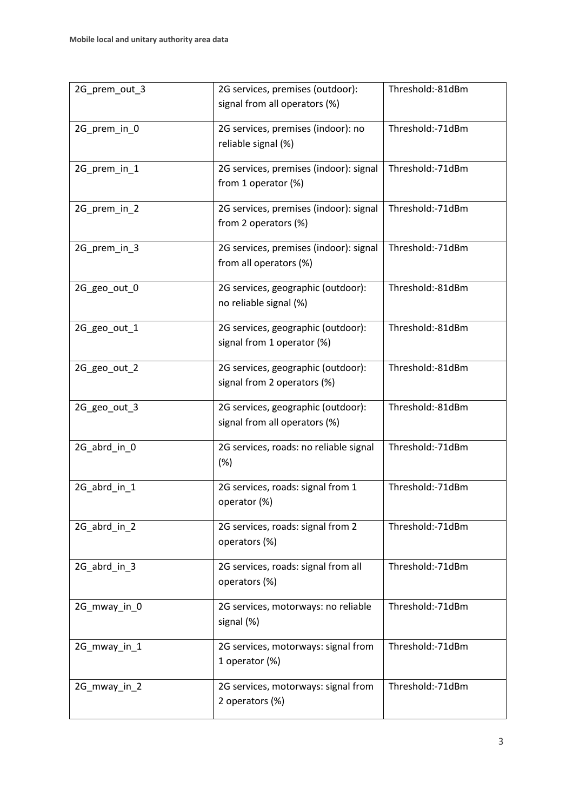| 2G prem out 3 | 2G services, premises (outdoor):<br>signal from all operators (%)          | Threshold:-81dBm |
|---------------|----------------------------------------------------------------------------|------------------|
| 2G_prem_in_0  | 2G services, premises (indoor): no<br>reliable signal (%)                  | Threshold:-71dBm |
| 2G_prem_in_1  | 2G services, premises (indoor): signal<br>from 1 operator (%)              | Threshold:-71dBm |
| 2G_prem_in_2  | 2G services, premises (indoor): signal<br>from 2 operators (%)             | Threshold:-71dBm |
| 2G_prem_in_3  | 2G services, premises (indoor): signal<br>from all operators (%)           | Threshold:-71dBm |
| 2G_geo_out_0  | 2G services, geographic (outdoor):<br>no reliable signal (%)               | Threshold:-81dBm |
| 2G_geo_out_1  | 2G services, geographic (outdoor):<br>signal from 1 operator (%)           | Threshold:-81dBm |
| 2G_geo_out_2  | 2G services, geographic (outdoor):<br>signal from 2 operators (%)          | Threshold:-81dBm |
| 2G_geo_out_3  | 2G services, geographic (outdoor):<br>signal from all operators (%)        | Threshold:-81dBm |
| 2G_abrd_in_0  | 2G services, roads: no reliable signal<br>(%)                              | Threshold:-71dBm |
| 2G_abrd_in_1  | 2G services, roads: signal from 1<br>operator (%)                          | Threshold:-71dBm |
| 2G_abrd_in_2  | 2G services, roads: signal from 2<br>operators (%)                         | Threshold:-71dBm |
| 2G_abrd_in_3  | 2G services, roads: signal from all<br>operators (%)                       | Threshold:-71dBm |
| 2G_mway_in_0  | Threshold:-71dBm<br>2G services, motorways: no reliable<br>signal (%)      |                  |
| 2G_mway_in_1  | 2G services, motorways: signal from<br>1 operator (%)                      | Threshold:-71dBm |
| 2G_mway_in_2  | Threshold:-71dBm<br>2G services, motorways: signal from<br>2 operators (%) |                  |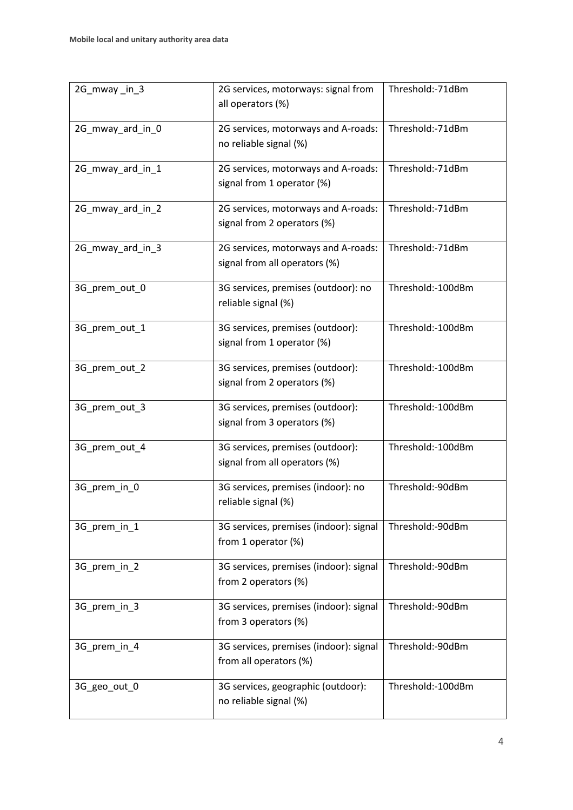| 2G_mway_in_3     | 2G services, motorways: signal from<br>all operators (%)                          | Threshold:-71dBm  |
|------------------|-----------------------------------------------------------------------------------|-------------------|
| 2G_mway_ard_in_0 | 2G services, motorways and A-roads:<br>no reliable signal (%)                     | Threshold:-71dBm  |
| 2G_mway_ard_in_1 | 2G services, motorways and A-roads:<br>signal from 1 operator (%)                 | Threshold:-71dBm  |
| 2G_mway_ard_in_2 | 2G services, motorways and A-roads:<br>signal from 2 operators (%)                | Threshold:-71dBm  |
| 2G_mway_ard_in_3 | 2G services, motorways and A-roads:<br>signal from all operators (%)              | Threshold:-71dBm  |
| 3G_prem_out_0    | 3G services, premises (outdoor): no<br>reliable signal (%)                        | Threshold:-100dBm |
| 3G_prem_out_1    | 3G services, premises (outdoor):<br>signal from 1 operator (%)                    | Threshold:-100dBm |
| 3G_prem_out_2    | 3G services, premises (outdoor):<br>signal from 2 operators (%)                   | Threshold:-100dBm |
| 3G_prem_out_3    | 3G services, premises (outdoor):<br>signal from 3 operators (%)                   | Threshold:-100dBm |
| 3G_prem_out_4    | 3G services, premises (outdoor):<br>signal from all operators (%)                 | Threshold:-100dBm |
| 3G_prem_in_0     | 3G services, premises (indoor): no<br>reliable signal (%)                         | Threshold:-90dBm  |
| 3G_prem_in_1     | 3G services, premises (indoor): signal<br>from 1 operator (%)                     | Threshold:-90dBm  |
| 3G_prem_in_2     | 3G services, premises (indoor): signal<br>from 2 operators (%)                    | Threshold:-90dBm  |
| 3G_prem_in_3     | 3G services, premises (indoor): signal<br>from 3 operators (%)                    | Threshold:-90dBm  |
| 3G_prem_in_4     | 3G services, premises (indoor): signal<br>from all operators (%)                  | Threshold:-90dBm  |
| 3G_geo_out_0     | 3G services, geographic (outdoor):<br>Threshold:-100dBm<br>no reliable signal (%) |                   |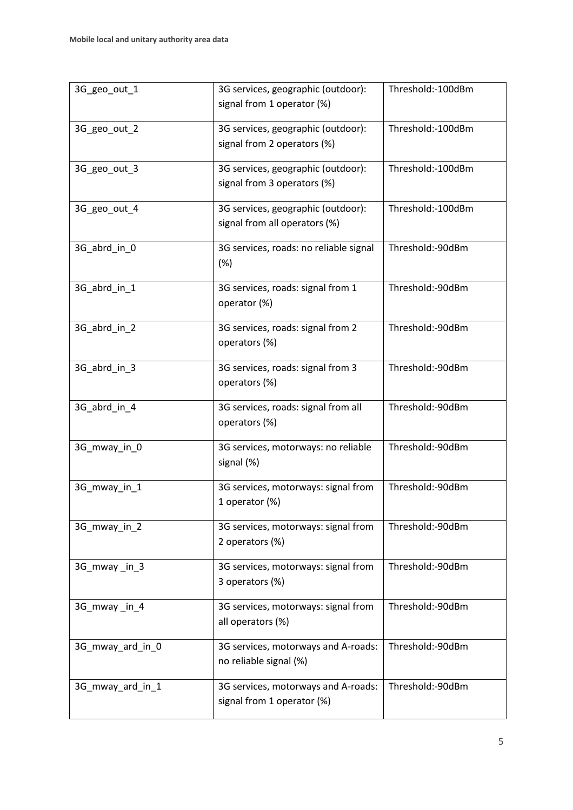| 3G_geo_out_1     | 3G services, geographic (outdoor):<br>signal from 1 operator (%)             | Threshold:-100dBm |
|------------------|------------------------------------------------------------------------------|-------------------|
| 3G_geo_out_2     | 3G services, geographic (outdoor):<br>signal from 2 operators (%)            | Threshold:-100dBm |
| 3G_geo_out_3     | 3G services, geographic (outdoor):<br>signal from 3 operators (%)            | Threshold:-100dBm |
| 3G geo out 4     | 3G services, geographic (outdoor):<br>signal from all operators (%)          | Threshold:-100dBm |
| 3G_abrd_in_0     | 3G services, roads: no reliable signal<br>(%)                                | Threshold:-90dBm  |
| 3G_abrd_in_1     | 3G services, roads: signal from 1<br>operator (%)                            | Threshold:-90dBm  |
| 3G_abrd_in_2     | 3G services, roads: signal from 2<br>operators (%)                           | Threshold:-90dBm  |
| 3G_abrd_in_3     | 3G services, roads: signal from 3<br>operators (%)                           | Threshold:-90dBm  |
| 3G_abrd_in_4     | 3G services, roads: signal from all<br>operators (%)                         | Threshold:-90dBm  |
| 3G_mway_in_0     | 3G services, motorways: no reliable<br>signal (%)                            | Threshold:-90dBm  |
| 3G_mway_in_1     | 3G services, motorways: signal from<br>1 operator (%)                        | Threshold:-90dBm  |
| 3G_mway_in_2     | Threshold:-90dBm<br>3G services, motorways: signal from<br>2 operators (%)   |                   |
| 3G_mway_in_3     | 3G services, motorways: signal from<br>3 operators (%)                       | Threshold:-90dBm  |
| 3G_mway_in_4     | Threshold:-90dBm<br>3G services, motorways: signal from<br>all operators (%) |                   |
| 3G_mway_ard_in_0 | 3G services, motorways and A-roads:<br>no reliable signal (%)                | Threshold:-90dBm  |
| 3G_mway_ard_in_1 | 3G services, motorways and A-roads:<br>signal from 1 operator (%)            | Threshold:-90dBm  |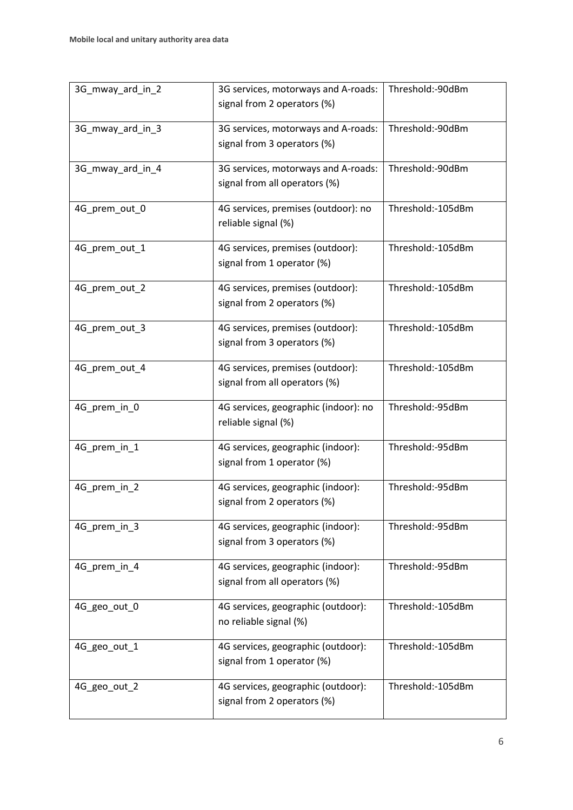| 3G_mway_ard_in_2 | 3G services, motorways and A-roads:<br>signal from 2 operators (%)                     | Threshold:-90dBm  |  |
|------------------|----------------------------------------------------------------------------------------|-------------------|--|
| 3G_mway_ard_in_3 | 3G services, motorways and A-roads:<br>signal from 3 operators (%)                     | Threshold:-90dBm  |  |
| 3G_mway_ard_in_4 | 3G services, motorways and A-roads:<br>signal from all operators (%)                   | Threshold:-90dBm  |  |
| 4G_prem_out_0    | 4G services, premises (outdoor): no<br>reliable signal (%)                             | Threshold:-105dBm |  |
| 4G_prem_out_1    | 4G services, premises (outdoor):<br>signal from 1 operator (%)                         | Threshold:-105dBm |  |
| 4G_prem_out_2    | 4G services, premises (outdoor):<br>signal from 2 operators (%)                        | Threshold:-105dBm |  |
| 4G prem out 3    | 4G services, premises (outdoor):<br>signal from 3 operators (%)                        | Threshold:-105dBm |  |
| 4G_prem_out_4    | 4G services, premises (outdoor):<br>signal from all operators (%)                      | Threshold:-105dBm |  |
| 4G_prem_in_0     | 4G services, geographic (indoor): no<br>reliable signal (%)                            | Threshold:-95dBm  |  |
| 4G_prem_in_1     | 4G services, geographic (indoor):<br>signal from 1 operator (%)                        | Threshold:-95dBm  |  |
| 4G_prem_in_2     | 4G services, geographic (indoor):<br>signal from 2 operators (%)                       | Threshold:-95dBm  |  |
| 4G_prem_in_3     | 4G services, geographic (indoor):<br>signal from 3 operators (%)                       | Threshold:-95dBm  |  |
| 4G_prem_in_4     | 4G services, geographic (indoor):<br>signal from all operators (%)                     | Threshold:-95dBm  |  |
| 4G_geo_out_0     | 4G services, geographic (outdoor):<br>no reliable signal (%)                           | Threshold:-105dBm |  |
| 4G_geo_out_1     | 4G services, geographic (outdoor):<br>signal from 1 operator (%)                       | Threshold:-105dBm |  |
| 4G_geo_out_2     | 4G services, geographic (outdoor):<br>Threshold:-105dBm<br>signal from 2 operators (%) |                   |  |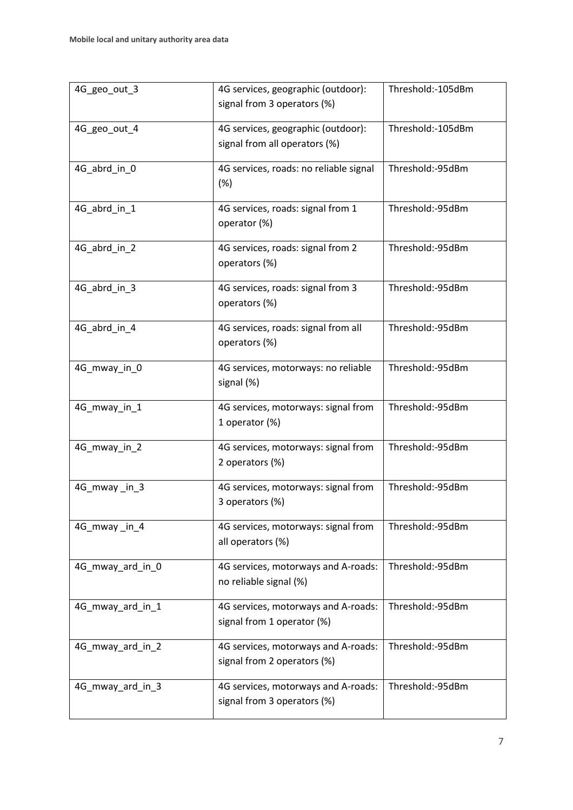| 4G_geo_out_3     | 4G services, geographic (outdoor):<br>signal from 3 operators (%)                      | Threshold:-105dBm |
|------------------|----------------------------------------------------------------------------------------|-------------------|
| 4G_geo_out_4     | 4G services, geographic (outdoor):<br>signal from all operators (%)                    | Threshold:-105dBm |
| 4G_abrd_in_0     | 4G services, roads: no reliable signal<br>(%)                                          | Threshold:-95dBm  |
| 4G_abrd_in_1     | 4G services, roads: signal from 1<br>operator (%)                                      | Threshold:-95dBm  |
| 4G_abrd_in_2     | 4G services, roads: signal from 2<br>operators (%)                                     | Threshold:-95dBm  |
| 4G_abrd_in_3     | 4G services, roads: signal from 3<br>operators (%)                                     | Threshold:-95dBm  |
| 4G_abrd_in_4     | 4G services, roads: signal from all<br>operators (%)                                   | Threshold:-95dBm  |
| 4G_mway_in_0     | 4G services, motorways: no reliable<br>signal (%)                                      | Threshold:-95dBm  |
| 4G_mway_in_1     | 4G services, motorways: signal from<br>1 operator (%)                                  | Threshold:-95dBm  |
| 4G_mway_in_2     | 4G services, motorways: signal from<br>2 operators (%)                                 | Threshold:-95dBm  |
| 4G_mway_in_3     | 4G services, motorways: signal from<br>3 operators (%)                                 | Threshold:-95dBm  |
| 4G_mway_in_4     | 4G services, motorways: signal from<br>all operators (%)                               | Threshold:-95dBm  |
| 4G_mway_ard_in_0 | 4G services, motorways and A-roads:<br>no reliable signal (%)                          | Threshold:-95dBm  |
| 4G_mway_ard_in_1 | 4G services, motorways and A-roads:<br>signal from 1 operator (%)                      | Threshold:-95dBm  |
| 4G_mway_ard_in_2 | 4G services, motorways and A-roads:<br>signal from 2 operators (%)                     | Threshold:-95dBm  |
| 4G_mway_ard_in_3 | Threshold:-95dBm<br>4G services, motorways and A-roads:<br>signal from 3 operators (%) |                   |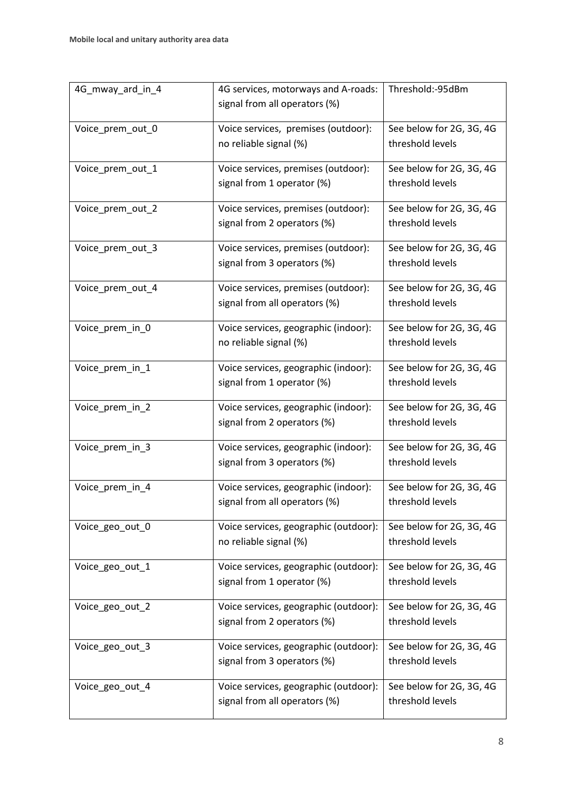| 4G_mway_ard_in_4 | Threshold:-95dBm<br>4G services, motorways and A-roads: |                          |
|------------------|---------------------------------------------------------|--------------------------|
|                  | signal from all operators (%)                           |                          |
| Voice_prem_out_0 | Voice services, premises (outdoor):                     | See below for 2G, 3G, 4G |
|                  | no reliable signal (%)                                  | threshold levels         |
| Voice_prem_out_1 | Voice services, premises (outdoor):                     | See below for 2G, 3G, 4G |
|                  | signal from 1 operator (%)                              | threshold levels         |
| Voice_prem_out_2 | Voice services, premises (outdoor):                     | See below for 2G, 3G, 4G |
|                  | signal from 2 operators (%)                             | threshold levels         |
| Voice_prem_out_3 | Voice services, premises (outdoor):                     | See below for 2G, 3G, 4G |
|                  | signal from 3 operators (%)                             | threshold levels         |
| Voice_prem_out_4 | Voice services, premises (outdoor):                     | See below for 2G, 3G, 4G |
|                  | signal from all operators (%)                           | threshold levels         |
| Voice_prem_in_0  | Voice services, geographic (indoor):                    | See below for 2G, 3G, 4G |
|                  | no reliable signal (%)                                  | threshold levels         |
| Voice_prem_in_1  | Voice services, geographic (indoor):                    | See below for 2G, 3G, 4G |
|                  | signal from 1 operator (%)                              | threshold levels         |
| Voice_prem_in_2  | Voice services, geographic (indoor):                    | See below for 2G, 3G, 4G |
|                  | signal from 2 operators (%)                             | threshold levels         |
| Voice_prem_in_3  | Voice services, geographic (indoor):                    | See below for 2G, 3G, 4G |
|                  | signal from 3 operators (%)                             | threshold levels         |
| Voice_prem_in_4  | Voice services, geographic (indoor):                    | See below for 2G, 3G, 4G |
|                  | signal from all operators (%)                           | threshold levels         |
| Voice_geo_out_0  | Voice services, geographic (outdoor):                   | See below for 2G, 3G, 4G |
|                  | no reliable signal (%)                                  | threshold levels         |
| Voice_geo_out_1  | Voice services, geographic (outdoor):                   | See below for 2G, 3G, 4G |
|                  | signal from 1 operator (%)                              | threshold levels         |
| Voice_geo_out_2  | Voice services, geographic (outdoor):                   | See below for 2G, 3G, 4G |
|                  | signal from 2 operators (%)                             | threshold levels         |
| Voice_geo_out_3  | Voice services, geographic (outdoor):                   | See below for 2G, 3G, 4G |
|                  | signal from 3 operators (%)                             | threshold levels         |
| Voice_geo_out_4  | Voice services, geographic (outdoor):                   | See below for 2G, 3G, 4G |
|                  | signal from all operators (%)                           | threshold levels         |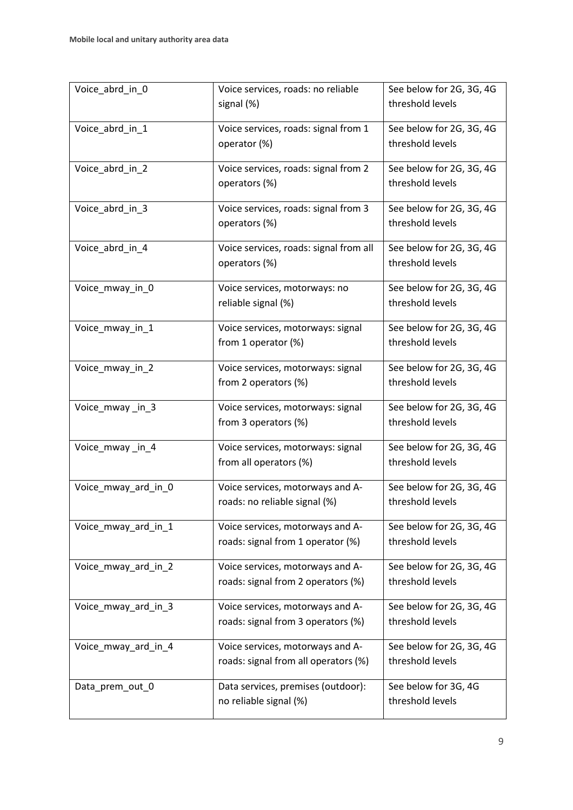| Voice_abrd_in_0     | Voice services, roads: no reliable<br>signal (%)                         | See below for 2G, 3G, 4G<br>threshold levels |
|---------------------|--------------------------------------------------------------------------|----------------------------------------------|
| Voice_abrd_in_1     | Voice services, roads: signal from 1<br>operator (%)                     | See below for 2G, 3G, 4G<br>threshold levels |
| Voice_abrd_in_2     | Voice services, roads: signal from 2<br>operators (%)                    | See below for 2G, 3G, 4G<br>threshold levels |
| Voice abrd in 3     | Voice services, roads: signal from 3<br>operators (%)                    | See below for 2G, 3G, 4G<br>threshold levels |
| Voice_abrd_in_4     | Voice services, roads: signal from all<br>operators (%)                  | See below for 2G, 3G, 4G<br>threshold levels |
| Voice_mway_in_0     | Voice services, motorways: no<br>reliable signal (%)                     | See below for 2G, 3G, 4G<br>threshold levels |
| Voice_mway_in_1     | Voice services, motorways: signal<br>from 1 operator $(\%)$              | See below for 2G, 3G, 4G<br>threshold levels |
| Voice_mway_in_2     | Voice services, motorways: signal<br>from 2 operators (%)                | See below for 2G, 3G, 4G<br>threshold levels |
| Voice_mway_in_3     | Voice services, motorways: signal<br>from 3 operators (%)                | See below for 2G, 3G, 4G<br>threshold levels |
| Voice_mway_in_4     | Voice services, motorways: signal<br>from all operators (%)              | See below for 2G, 3G, 4G<br>threshold levels |
| Voice_mway_ard_in_0 | Voice services, motorways and A-<br>roads: no reliable signal (%)        | See below for 2G, 3G, 4G<br>threshold levels |
| Voice_mway_ard_in_1 | Voice services, motorways and A-<br>roads: signal from 1 operator (%)    | See below for 2G, 3G, 4G<br>threshold levels |
| Voice_mway_ard_in_2 | Voice services, motorways and A-<br>roads: signal from 2 operators (%)   | See below for 2G, 3G, 4G<br>threshold levels |
| Voice_mway_ard_in_3 | Voice services, motorways and A-<br>roads: signal from 3 operators (%)   | See below for 2G, 3G, 4G<br>threshold levels |
| Voice_mway_ard_in_4 | Voice services, motorways and A-<br>roads: signal from all operators (%) | See below for 2G, 3G, 4G<br>threshold levels |
| Data_prem_out_0     | Data services, premises (outdoor):<br>no reliable signal (%)             | See below for 3G, 4G<br>threshold levels     |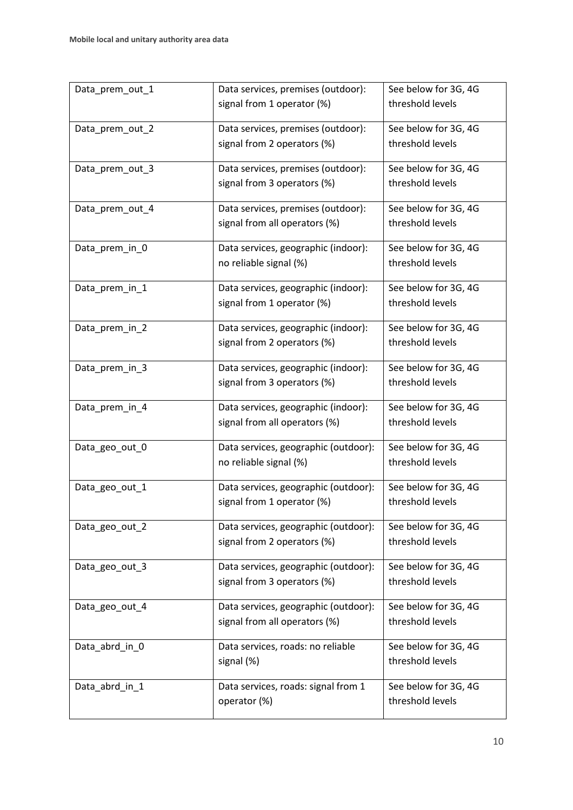| Data_prem_out_1 | Data services, premises (outdoor):   | See below for 3G, 4G |  |
|-----------------|--------------------------------------|----------------------|--|
|                 | signal from 1 operator (%)           | threshold levels     |  |
| Data_prem_out_2 | Data services, premises (outdoor):   | See below for 3G, 4G |  |
|                 | signal from 2 operators (%)          | threshold levels     |  |
| Data_prem_out_3 | Data services, premises (outdoor):   | See below for 3G, 4G |  |
|                 | signal from 3 operators (%)          | threshold levels     |  |
| Data_prem_out_4 | Data services, premises (outdoor):   | See below for 3G, 4G |  |
|                 | signal from all operators (%)        | threshold levels     |  |
| Data_prem_in_0  | Data services, geographic (indoor):  | See below for 3G, 4G |  |
|                 | no reliable signal (%)               | threshold levels     |  |
| Data_prem_in_1  | Data services, geographic (indoor):  | See below for 3G, 4G |  |
|                 | signal from 1 operator (%)           | threshold levels     |  |
| Data_prem_in_2  | Data services, geographic (indoor):  | See below for 3G, 4G |  |
|                 | signal from 2 operators (%)          | threshold levels     |  |
| Data_prem_in_3  | Data services, geographic (indoor):  | See below for 3G, 4G |  |
|                 | signal from 3 operators (%)          | threshold levels     |  |
| Data_prem_in_4  | Data services, geographic (indoor):  | See below for 3G, 4G |  |
|                 | signal from all operators (%)        | threshold levels     |  |
| Data_geo_out_0  | Data services, geographic (outdoor): | See below for 3G, 4G |  |
|                 | no reliable signal (%)               | threshold levels     |  |
| Data_geo_out_1  | Data services, geographic (outdoor): | See below for 3G, 4G |  |
|                 | signal from 1 operator (%)           | threshold levels     |  |
| Data_geo_out_2  | Data services, geographic (outdoor): | See below for 3G, 4G |  |
|                 | signal from 2 operators (%)          | threshold levels     |  |
| Data_geo_out_3  | Data services, geographic (outdoor): | See below for 3G, 4G |  |
|                 | signal from 3 operators (%)          | threshold levels     |  |
| Data_geo_out_4  | Data services, geographic (outdoor): | See below for 3G, 4G |  |
|                 | signal from all operators (%)        | threshold levels     |  |
| Data_abrd_in_0  | Data services, roads: no reliable    | See below for 3G, 4G |  |
|                 | signal (%)                           | threshold levels     |  |
| Data_abrd_in_1  | Data services, roads: signal from 1  | See below for 3G, 4G |  |
|                 | operator (%)                         | threshold levels     |  |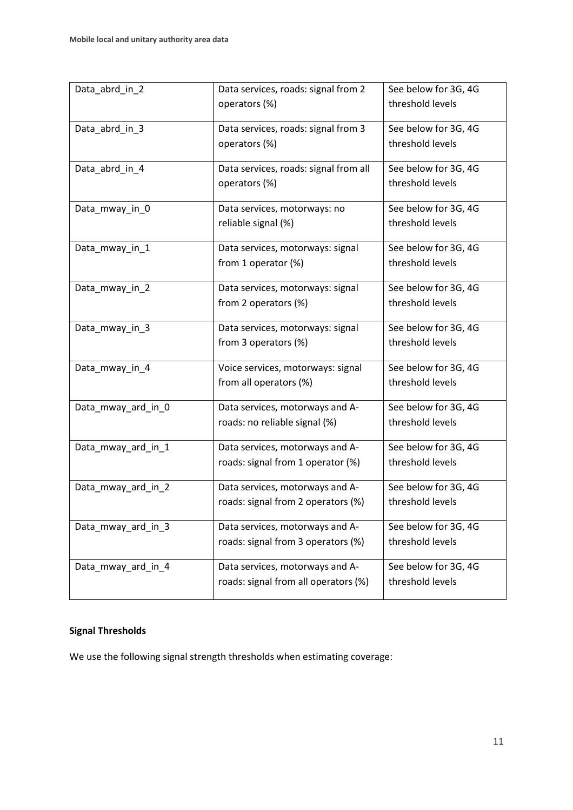| Data_abrd_in_2     | Data services, roads: signal from 2   | See below for 3G, 4G |
|--------------------|---------------------------------------|----------------------|
|                    | operators (%)                         | threshold levels     |
|                    |                                       |                      |
| Data_abrd_in_3     | Data services, roads: signal from 3   | See below for 3G, 4G |
|                    | operators (%)                         | threshold levels     |
|                    |                                       |                      |
| Data_abrd_in_4     | Data services, roads: signal from all | See below for 3G, 4G |
|                    | operators (%)                         | threshold levels     |
| Data_mway_in_0     | Data services, motorways: no          | See below for 3G, 4G |
|                    | reliable signal (%)                   | threshold levels     |
|                    |                                       |                      |
| Data_mway_in_1     | Data services, motorways: signal      | See below for 3G, 4G |
|                    | from 1 operator (%)                   | threshold levels     |
|                    |                                       |                      |
| Data_mway_in_2     | Data services, motorways: signal      | See below for 3G, 4G |
|                    | from 2 operators (%)                  | threshold levels     |
|                    |                                       |                      |
| Data_mway_in_3     | Data services, motorways: signal      | See below for 3G, 4G |
|                    | from 3 operators (%)                  | threshold levels     |
| Data_mway_in_4     | Voice services, motorways: signal     | See below for 3G, 4G |
|                    | from all operators (%)                | threshold levels     |
|                    |                                       |                      |
| Data_mway_ard_in_0 | Data services, motorways and A-       | See below for 3G, 4G |
|                    | roads: no reliable signal (%)         | threshold levels     |
|                    |                                       |                      |
| Data_mway_ard_in_1 | Data services, motorways and A-       | See below for 3G, 4G |
|                    | roads: signal from 1 operator (%)     | threshold levels     |
| Data_mway_ard_in_2 | Data services, motorways and A-       | See below for 3G, 4G |
|                    | roads: signal from 2 operators (%)    | threshold levels     |
|                    |                                       |                      |
| Data_mway_ard_in_3 | Data services, motorways and A-       | See below for 3G, 4G |
|                    | roads: signal from 3 operators (%)    | threshold levels     |
|                    |                                       |                      |
| Data_mway_ard_in_4 | Data services, motorways and A-       | See below for 3G, 4G |
|                    | roads: signal from all operators (%)  | threshold levels     |
|                    |                                       |                      |

# **Signal Thresholds**

We use the following signal strength thresholds when estimating coverage: